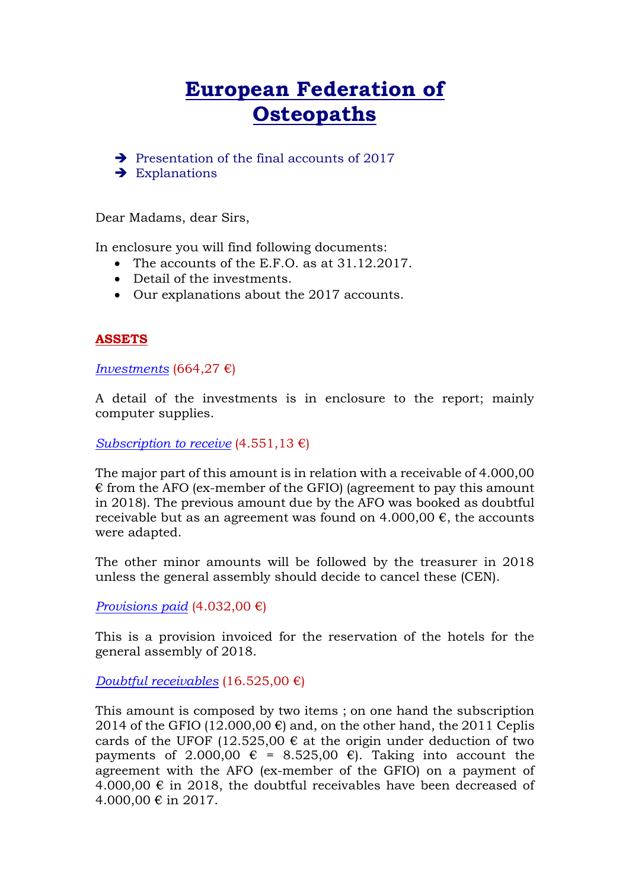# **European Federation of Osteopaths**

 $\rightarrow$  Presentation of the final accounts of 2017

 $\rightarrow$  Explanations

Dear Madams, dear Sirs,

In enclosure you will find following documents:

- The accounts of the E.F.O. as at 31.12.2017.
- Detail of the investments.
- Our explanations about the 2017 accounts.

# **ASSETS**

*Investments* (664,27 €)

A detail of the investments is in enclosure to the report; mainly computer supplies.

*Subscription to receive* (4.551,13 €)

The major part of this amount is in relation with a receivable of 4.000,00  $\epsilon$  from the AFO (ex-member of the GFIO) (agreement to pay this amount in 2018). The previous amount due by the AFO was booked as doubtful receivable but as an agreement was found on 4.000,00  $\epsilon$ , the accounts were adapted.

The other minor amounts will be followed by the treasurer in 2018 unless the general assembly should decide to cancel these (CEN).

*Provisions paid* (4.032,00 €)

This is a provision invoiced for the reservation of the hotels for the general assembly of 2018.

*Doubtful receivables* (16.525,00 €)

This amount is composed by two items ; on one hand the subscription 2014 of the GFIO (12.000,00  $\varepsilon$ ) and, on the other hand, the 2011 Ceplis cards of the UFOF (12.525,00  $\epsilon$  at the origin under deduction of two payments of 2.000,00  $\epsilon$  = 8.525,00  $\epsilon$ ). Taking into account the agreement with the AFO (ex-member of the GFIO) on a payment of  $4.000,00 \notin \mathbb{N}$  2018, the doubtful receivables have been decreased of 4.000,00 € in 2017.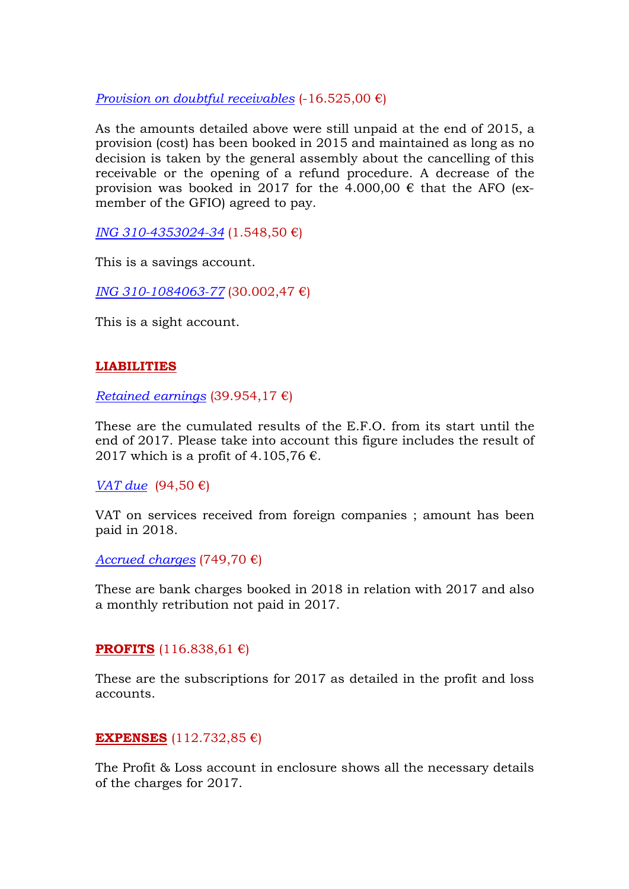*Provision on doubtful receivables*  $(-16.525,00)$ 

As the amounts detailed above were still unpaid at the end of 2015, a provision (cost) has been booked in 2015 and maintained as long as no decision is taken by the general assembly about the cancelling of this receivable or the opening of a refund procedure. A decrease of the provision was booked in 2017 for the 4.000,00  $\epsilon$  that the AFO (exmember of the GFIO) agreed to pay.

*ING 310-4353024-34* (1.548,50 €)

This is a savings account.

*ING 310-1084063-77* (30.002,47 €)

This is a sight account.

## **LIABILITIES**

*Retained earnings* (39.954,17 €)

These are the cumulated results of the E.F.O. from its start until the end of 2017. Please take into account this figure includes the result of 2017 which is a profit of 4.105,76  $\epsilon$ .

*VAT due* (94,50 €)

VAT on services received from foreign companies ; amount has been paid in 2018.

*Accrued charges* (749,70 €)

These are bank charges booked in 2018 in relation with 2017 and also a monthly retribution not paid in 2017.

### **PROFITS** (116.838,61 €)

These are the subscriptions for 2017 as detailed in the profit and loss accounts.

### **EXPENSES** (112.732,85 €)

The Profit & Loss account in enclosure shows all the necessary details of the charges for 2017.